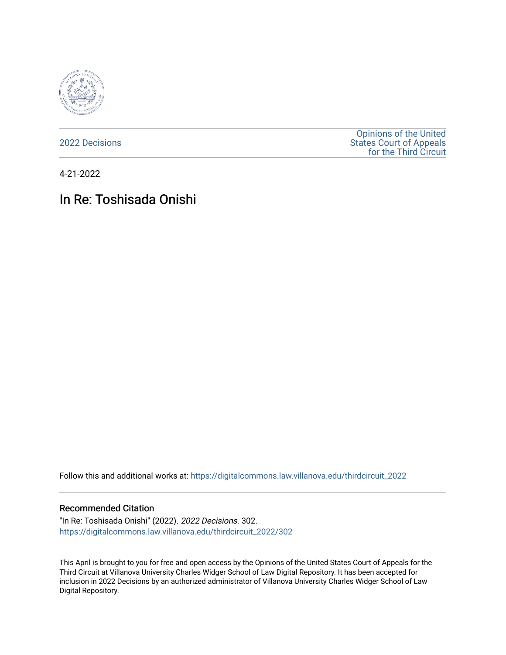

[2022 Decisions](https://digitalcommons.law.villanova.edu/thirdcircuit_2022)

[Opinions of the United](https://digitalcommons.law.villanova.edu/thirdcircuit)  [States Court of Appeals](https://digitalcommons.law.villanova.edu/thirdcircuit)  [for the Third Circuit](https://digitalcommons.law.villanova.edu/thirdcircuit) 

4-21-2022

# In Re: Toshisada Onishi

Follow this and additional works at: [https://digitalcommons.law.villanova.edu/thirdcircuit\\_2022](https://digitalcommons.law.villanova.edu/thirdcircuit_2022?utm_source=digitalcommons.law.villanova.edu%2Fthirdcircuit_2022%2F302&utm_medium=PDF&utm_campaign=PDFCoverPages) 

#### Recommended Citation

"In Re: Toshisada Onishi" (2022). 2022 Decisions. 302. [https://digitalcommons.law.villanova.edu/thirdcircuit\\_2022/302](https://digitalcommons.law.villanova.edu/thirdcircuit_2022/302?utm_source=digitalcommons.law.villanova.edu%2Fthirdcircuit_2022%2F302&utm_medium=PDF&utm_campaign=PDFCoverPages)

This April is brought to you for free and open access by the Opinions of the United States Court of Appeals for the Third Circuit at Villanova University Charles Widger School of Law Digital Repository. It has been accepted for inclusion in 2022 Decisions by an authorized administrator of Villanova University Charles Widger School of Law Digital Repository.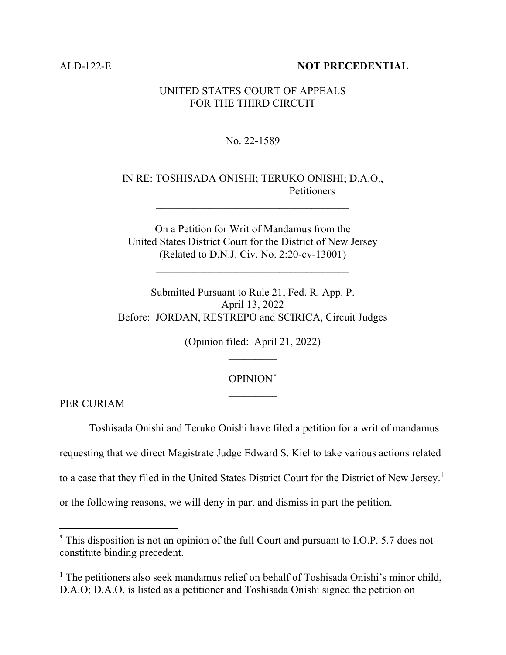#### ALD-122-E **NOT PRECEDENTIAL**

#### UNITED STATES COURT OF APPEALS FOR THE THIRD CIRCUIT

 $\frac{1}{2}$ 

### No. 22-1589  $\frac{1}{2}$

# IN RE: TOSHISADA ONISHI; TERUKO ONISHI; D.A.O., Petitioners

On a Petition for Writ of Mandamus from the United States District Court for the District of New Jersey (Related to D.N.J. Civ. No. 2:20-cv-13001)

 $\mathcal{L}_\text{max}$  and  $\mathcal{L}_\text{max}$  and  $\mathcal{L}_\text{max}$  and  $\mathcal{L}_\text{max}$ 

Submitted Pursuant to Rule 21, Fed. R. App. P. April 13, 2022 Before: JORDAN, RESTREPO and SCIRICA, Circuit Judges

> (Opinion filed: April 21, 2022)  $\overline{\phantom{a}}$

# OPINION\*  $\frac{1}{2}$

PER CURIAM

Toshisada Onishi and Teruko Onishi have filed a petition for a writ of mandamus

requesting that we direct Magistrate Judge Edward S. Kiel to take various actions related

to a case that they filed in the United States District Court for the District of New Jersey.<sup>1</sup>

or the following reasons, we will deny in part and dismiss in part the petition.

<sup>\*</sup> This disposition is not an opinion of the full Court and pursuant to I.O.P. 5.7 does not constitute binding precedent.

<sup>&</sup>lt;sup>1</sup> The petitioners also seek mandamus relief on behalf of Toshisada Onishi's minor child, D.A.O; D.A.O. is listed as a petitioner and Toshisada Onishi signed the petition on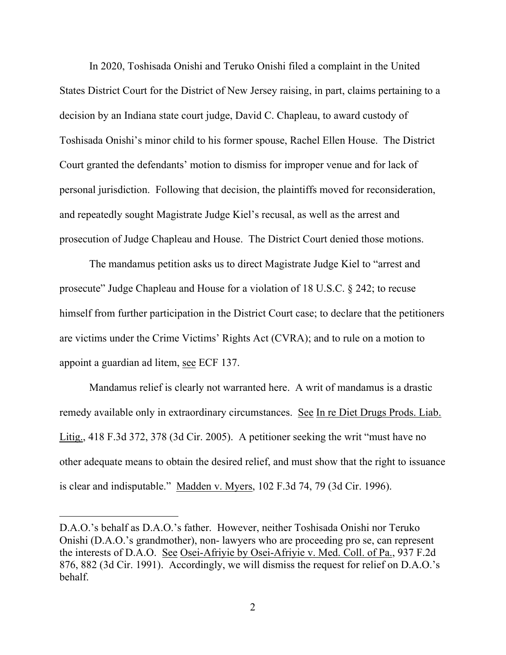In 2020, Toshisada Onishi and Teruko Onishi filed a complaint in the United States District Court for the District of New Jersey raising, in part, claims pertaining to a decision by an Indiana state court judge, David C. Chapleau, to award custody of Toshisada Onishi's minor child to his former spouse, Rachel Ellen House. The District Court granted the defendants' motion to dismiss for improper venue and for lack of personal jurisdiction. Following that decision, the plaintiffs moved for reconsideration, and repeatedly sought Magistrate Judge Kiel's recusal, as well as the arrest and prosecution of Judge Chapleau and House. The District Court denied those motions.

The mandamus petition asks us to direct Magistrate Judge Kiel to "arrest and prosecute" Judge Chapleau and House for a violation of 18 U.S.C. § 242; to recuse himself from further participation in the District Court case; to declare that the petitioners are victims under the Crime Victims' Rights Act (CVRA); and to rule on a motion to appoint a guardian ad litem, see ECF 137.

Mandamus relief is clearly not warranted here. A writ of mandamus is a drastic remedy available only in extraordinary circumstances. See In re Diet Drugs Prods. Liab. Litig., 418 F.3d 372, 378 (3d Cir. 2005). A petitioner seeking the writ "must have no other adequate means to obtain the desired relief, and must show that the right to issuance is clear and indisputable." Madden v. Myers, 102 F.3d 74, 79 (3d Cir. 1996).

D.A.O.'s behalf as D.A.O.'s father. However, neither Toshisada Onishi nor Teruko Onishi (D.A.O.'s grandmother), non- lawyers who are proceeding pro se, can represent the interests of D.A.O. See Osei-Afriyie by Osei-Afriyie v. Med. Coll. of Pa., 937 F.2d 876, 882 (3d Cir. 1991). Accordingly, we will dismiss the request for relief on D.A.O.'s behalf.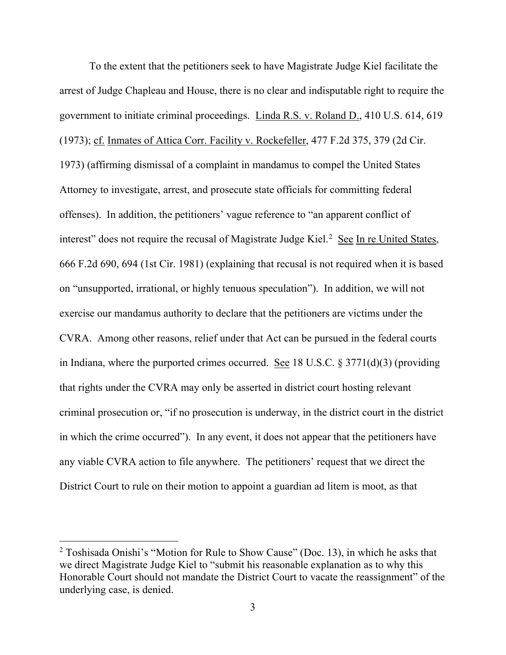To the extent that the petitioners seek to have Magistrate Judge Kiel facilitate the arrest of Judge Chapleau and House, there is no clear and indisputable right to require the government to initiate criminal proceedings. Linda R.S. v. Roland D., 410 U.S. 614, 619 (1973); cf. Inmates of Attica Corr. Facility v. Rockefeller, 477 F.2d 375, 379 (2d Cir. 1973) (affirming dismissal of a complaint in mandamus to compel the United States Attorney to investigate, arrest, and prosecute state officials for committing federal offenses). In addition, the petitioners' vague reference to "an apparent conflict of interest" does not require the recusal of Magistrate Judge Kiel.<sup>2</sup> See In re United States, 666 F.2d 690, 694 (1st Cir. 1981) (explaining that recusal is not required when it is based on "unsupported, irrational, or highly tenuous speculation"). In addition, we will not exercise our mandamus authority to declare that the petitioners are victims under the CVRA. Among other reasons, relief under that Act can be pursued in the federal courts in Indiana, where the purported crimes occurred. See 18 U.S.C.  $\S 3771(d)(3)$  (providing that rights under the CVRA may only be asserted in district court hosting relevant criminal prosecution or, "if no prosecution is underway, in the district court in the district in which the crime occurred"). In any event, it does not appear that the petitioners have any viable CVRA action to file anywhere. The petitioners' request that we direct the District Court to rule on their motion to appoint a guardian ad litem is moot, as that

<sup>2</sup> Toshisada Onishi's "Motion for Rule to Show Cause" (Doc. 13), in which he asks that we direct Magistrate Judge Kiel to "submit his reasonable explanation as to why this Honorable Court should not mandate the District Court to vacate the reassignment" of the underlying case, is denied.